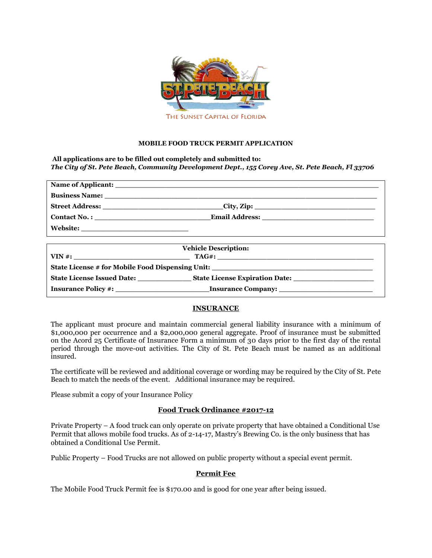

### **MOBILE FOOD TRUCK PERMIT APPLICATION**

**All applications are to be filled out completely and submitted to:** *The City of St. Pete Beach, Community Development Dept., 155 Corey Ave, St. Pete Beach, Fl 33706*

|                     | $\text{City}, \text{Zip:}$ |  |
|---------------------|----------------------------|--|
| <b>Contact No.:</b> |                            |  |
| <b>Website:</b>     |                            |  |

| <b>Vehicle Description:</b>       |                                                                            |  |
|-----------------------------------|----------------------------------------------------------------------------|--|
| $VIN \#$ :                        | $\text{TAG} \# \text{:} \underline{\hspace{2cm}} \underline{\hspace{2cm}}$ |  |
|                                   |                                                                            |  |
| <b>State License Issued Date:</b> | <b>State License Expiration Date:</b>                                      |  |
| <b>Insurance Policy #:</b>        | <b>Insurance Company:</b>                                                  |  |

## **INSURANCE**

The applicant must procure and maintain commercial general liability insurance with a minimum of \$1,000,000 per occurrence and a \$2,000,000 general aggregate. Proof of insurance must be submitted on the Acord 25 Certificate of Insurance Form a minimum of 30 days prior to the first day of the rental period through the move-out activities. The City of St. Pete Beach must be named as an additional insured.

The certificate will be reviewed and additional coverage or wording may be required by the City of St. Pete Beach to match the needs of the event. Additional insurance may be required.

Please submit a copy of your Insurance Policy

#### **Food Truck Ordinance #2017-12**

Private Property – A food truck can only operate on private property that have obtained a Conditional Use Permit that allows mobile food trucks. As of 2-14-17, Mastry's Brewing Co. is the only business that has obtained a Conditional Use Permit.

Public Property – Food Trucks are not allowed on public property without a special event permit.

#### **Permit Fee**

The Mobile Food Truck Permit fee is \$170.00 and is good for one year after being issued.